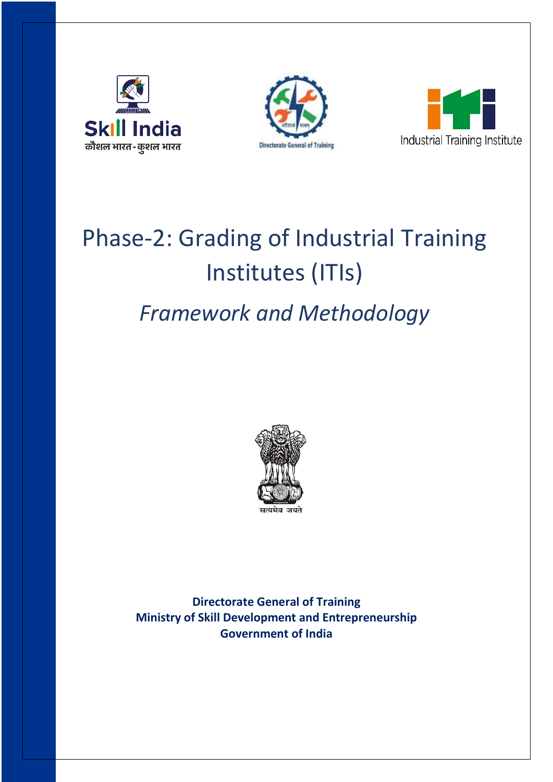





# Phase-2: Grading of Industrial Training Institutes (ITIs)

# *Framework and Methodology*



**Directorate General of Training Ministry of Skill Development and Entrepreneurship Government of India**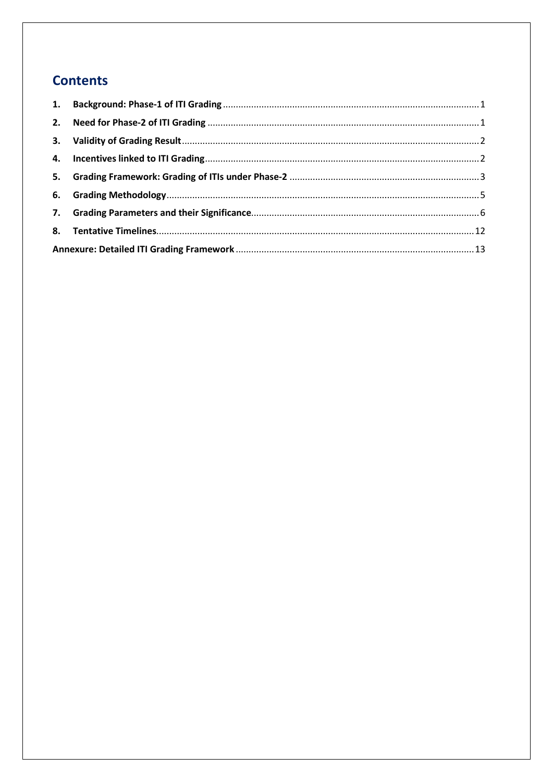# **Contents**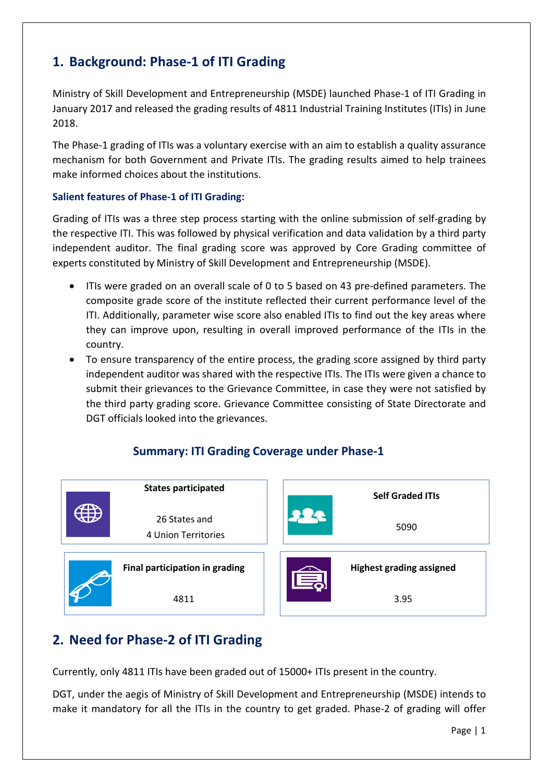# <span id="page-2-0"></span>**1. Background: Phase-1 of ITI Grading**

Ministry of Skill Development and Entrepreneurship (MSDE) launched Phase-1 of ITI Grading in January 2017 and released the grading results of 4811 Industrial Training Institutes (ITIs) in June 2018.

The Phase-1 grading of ITIs was a voluntary exercise with an aim to establish a quality assurance mechanism for both Government and Private ITIs. The grading results aimed to help trainees make informed choices about the institutions.

## **Salient features of Phase-1 of ITI Grading:**

Grading of ITIs was a three step process starting with the online submission of self-grading by the respective ITI. This was followed by physical verification and data validation by a third party independent auditor. The final grading score was approved by Core Grading committee of experts constituted by Ministry of Skill Development and Entrepreneurship (MSDE).

- ITIs were graded on an overall scale of 0 to 5 based on 43 pre-defined parameters. The composite grade score of the institute reflected their current performance level of the ITI. Additionally, parameter wise score also enabled ITIs to find out the key areas where they can improve upon, resulting in overall improved performance of the ITIs in the country.
- To ensure transparency of the entire process, the grading score assigned by third party independent auditor was shared with the respective ITIs. The ITIs were given a chance to submit their grievances to the Grievance Committee, in case they were not satisfied by the third party grading score. Grievance Committee consisting of State Directorate and DGT officials looked into the grievances.

# **Summary: ITI Grading Coverage under Phase-1**



# <span id="page-2-1"></span>**2. Need for Phase-2 of ITI Grading**

Currently, only 4811 ITIs have been graded out of 15000+ ITIs present in the country.

DGT, under the aegis of Ministry of Skill Development and Entrepreneurship (MSDE) intends to make it mandatory for all the ITIs in the country to get graded. Phase-2 of grading will offer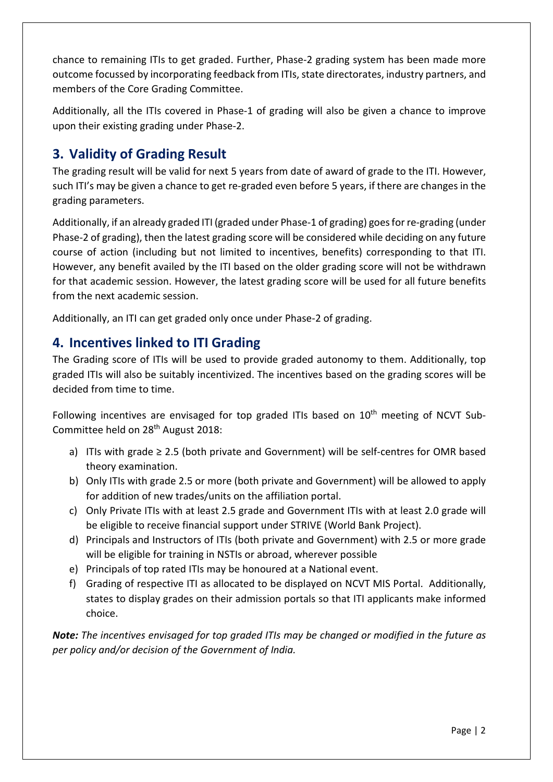chance to remaining ITIs to get graded. Further, Phase-2 grading system has been made more outcome focussed by incorporating feedback from ITIs, state directorates, industry partners, and members of the Core Grading Committee.

Additionally, all the ITIs covered in Phase-1 of grading will also be given a chance to improve upon their existing grading under Phase-2.

# <span id="page-3-0"></span>**3. Validity of Grading Result**

The grading result will be valid for next 5 years from date of award of grade to the ITI. However, such ITI's may be given a chance to get re-graded even before 5 years, if there are changes in the grading parameters.

Additionally, if an already graded ITI (graded under Phase-1 of grading) goes for re-grading (under Phase-2 of grading), then the latest grading score will be considered while deciding on any future course of action (including but not limited to incentives, benefits) corresponding to that ITI. However, any benefit availed by the ITI based on the older grading score will not be withdrawn for that academic session. However, the latest grading score will be used for all future benefits from the next academic session.

Additionally, an ITI can get graded only once under Phase-2 of grading.

# <span id="page-3-1"></span>**4. Incentives linked to ITI Grading**

The Grading score of ITIs will be used to provide graded autonomy to them. Additionally, top graded ITIs will also be suitably incentivized. The incentives based on the grading scores will be decided from time to time.

Following incentives are envisaged for top graded ITIs based on 10<sup>th</sup> meeting of NCVT Sub-Committee held on 28th August 2018:

- a) ITIs with grade  $\geq$  2.5 (both private and Government) will be self-centres for OMR based theory examination.
- b) Only ITIs with grade 2.5 or more (both private and Government) will be allowed to apply for addition of new trades/units on the affiliation portal.
- c) Only Private ITIs with at least 2.5 grade and Government ITIs with at least 2.0 grade will be eligible to receive financial support under STRIVE (World Bank Project).
- d) Principals and Instructors of ITIs (both private and Government) with 2.5 or more grade will be eligible for training in NSTIs or abroad, wherever possible
- e) Principals of top rated ITIs may be honoured at a National event.
- f) Grading of respective ITI as allocated to be displayed on NCVT MIS Portal. Additionally, states to display grades on their admission portals so that ITI applicants make informed choice.

*Note: The incentives envisaged for top graded ITIs may be changed or modified in the future as per policy and/or decision of the Government of India.*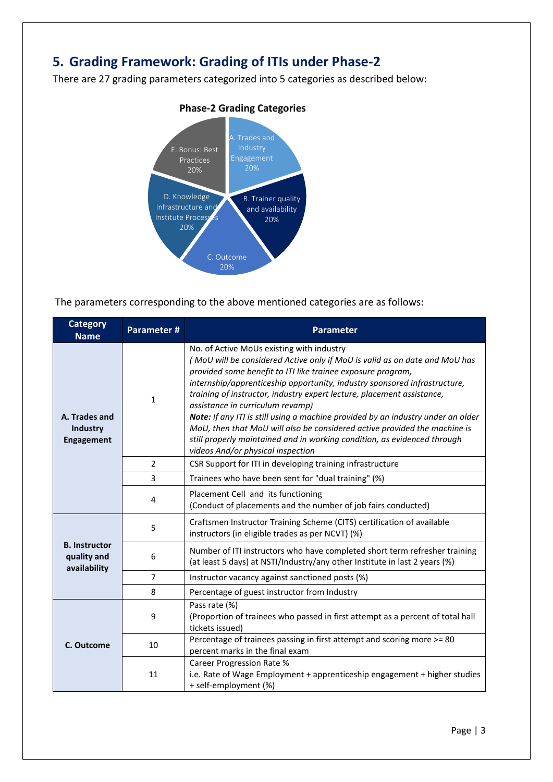# <span id="page-4-0"></span>**5. Grading Framework: Grading of ITIs under Phase-2**

There are 27 grading parameters categorized into 5 categories as described below:



# **Phase-2 Grading Categories**

The parameters corresponding to the above mentioned categories are as follows:

| <b>Category</b><br><b>Name</b>                      | Parameter#     | <b>Parameter</b>                                                                                                                                                                                                                                                                                                                                                                                                                                                                                                                                                                                                                                                    |
|-----------------------------------------------------|----------------|---------------------------------------------------------------------------------------------------------------------------------------------------------------------------------------------------------------------------------------------------------------------------------------------------------------------------------------------------------------------------------------------------------------------------------------------------------------------------------------------------------------------------------------------------------------------------------------------------------------------------------------------------------------------|
| A. Trades and<br>Industry<br><b>Engagement</b>      | $\mathbf{1}$   | No. of Active MoUs existing with industry<br>(MoU will be considered Active only if MoU is valid as on date and MoU has<br>provided some benefit to ITI like trainee exposure program,<br>internship/apprenticeship opportunity, industry sponsored infrastructure,<br>training of instructor, industry expert lecture, placement assistance,<br>assistance in curriculum revamp)<br>Note: If any ITI is still using a machine provided by an industry under an older<br>MoU, then that MoU will also be considered active provided the machine is<br>still properly maintained and in working condition, as evidenced through<br>videos And/or physical inspection |
|                                                     | $\overline{2}$ | CSR Support for ITI in developing training infrastructure                                                                                                                                                                                                                                                                                                                                                                                                                                                                                                                                                                                                           |
|                                                     | 3              | Trainees who have been sent for "dual training" (%)                                                                                                                                                                                                                                                                                                                                                                                                                                                                                                                                                                                                                 |
|                                                     | 4              | Placement Cell and its functioning<br>(Conduct of placements and the number of job fairs conducted)                                                                                                                                                                                                                                                                                                                                                                                                                                                                                                                                                                 |
|                                                     | 5              | Craftsmen Instructor Training Scheme (CITS) certification of available<br>instructors (in eligible trades as per NCVT) (%)                                                                                                                                                                                                                                                                                                                                                                                                                                                                                                                                          |
| <b>B.</b> Instructor<br>quality and<br>availability | 6              | Number of ITI instructors who have completed short term refresher training<br>(at least 5 days) at NSTI/Industry/any other Institute in last 2 years (%)                                                                                                                                                                                                                                                                                                                                                                                                                                                                                                            |
|                                                     | $\overline{7}$ | Instructor vacancy against sanctioned posts (%)                                                                                                                                                                                                                                                                                                                                                                                                                                                                                                                                                                                                                     |
|                                                     | 8              | Percentage of guest instructor from Industry                                                                                                                                                                                                                                                                                                                                                                                                                                                                                                                                                                                                                        |
|                                                     | 9              | Pass rate (%)<br>(Proportion of trainees who passed in first attempt as a percent of total hall<br>tickets issued)                                                                                                                                                                                                                                                                                                                                                                                                                                                                                                                                                  |
| C. Outcome                                          | 10             | Percentage of trainees passing in first attempt and scoring more >= 80<br>percent marks in the final exam                                                                                                                                                                                                                                                                                                                                                                                                                                                                                                                                                           |
|                                                     | 11             | Career Progression Rate %<br>i.e. Rate of Wage Employment + apprenticeship engagement + higher studies<br>+ self-employment (%)                                                                                                                                                                                                                                                                                                                                                                                                                                                                                                                                     |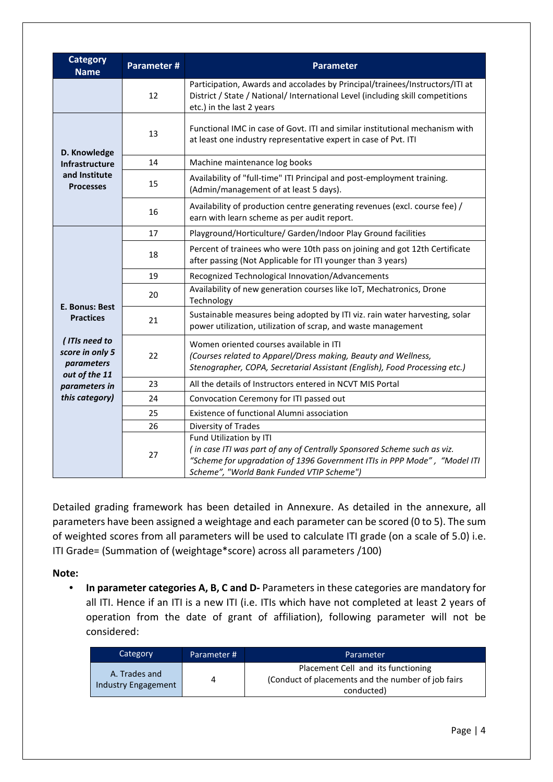| <b>Category</b><br><b>Name</b>                                  | Parameter # | <b>Parameter</b>                                                                                                                                                                                                            |
|-----------------------------------------------------------------|-------------|-----------------------------------------------------------------------------------------------------------------------------------------------------------------------------------------------------------------------------|
|                                                                 | 12          | Participation, Awards and accolades by Principal/trainees/Instructors/ITI at<br>District / State / National/ International Level (including skill competitions<br>etc.) in the last 2 years                                 |
| D. Knowledge                                                    | 13          | Functional IMC in case of Govt. ITI and similar institutional mechanism with<br>at least one industry representative expert in case of Pvt. ITI                                                                             |
| <b>Infrastructure</b>                                           | 14          | Machine maintenance log books                                                                                                                                                                                               |
| and Institute<br><b>Processes</b>                               | 15          | Availability of "full-time" ITI Principal and post-employment training.<br>(Admin/management of at least 5 days).                                                                                                           |
|                                                                 | 16          | Availability of production centre generating revenues (excl. course fee) /<br>earn with learn scheme as per audit report.                                                                                                   |
|                                                                 | 17          | Playground/Horticulture/ Garden/Indoor Play Ground facilities                                                                                                                                                               |
|                                                                 | 18          | Percent of trainees who were 10th pass on joining and got 12th Certificate<br>after passing (Not Applicable for ITI younger than 3 years)                                                                                   |
|                                                                 | 19          | Recognized Technological Innovation/Advancements                                                                                                                                                                            |
| E. Bonus: Best                                                  | 20          | Availability of new generation courses like IoT, Mechatronics, Drone<br>Technology                                                                                                                                          |
| <b>Practices</b>                                                | 21          | Sustainable measures being adopted by ITI viz. rain water harvesting, solar<br>power utilization, utilization of scrap, and waste management                                                                                |
| (ITIs need to<br>score in only 5<br>parameters<br>out of the 11 | 22          | Women oriented courses available in ITI<br>(Courses related to Apparel/Dress making, Beauty and Wellness,<br>Stenographer, COPA, Secretarial Assistant (English), Food Processing etc.)                                     |
| parameters in                                                   | 23          | All the details of Instructors entered in NCVT MIS Portal                                                                                                                                                                   |
| this category)                                                  | 24          | Convocation Ceremony for ITI passed out                                                                                                                                                                                     |
|                                                                 | 25          | Existence of functional Alumni association                                                                                                                                                                                  |
|                                                                 | 26          | Diversity of Trades                                                                                                                                                                                                         |
|                                                                 | 27          | Fund Utilization by ITI<br>(in case ITI was part of any of Centrally Sponsored Scheme such as viz.<br>"Scheme for upgradation of 1396 Government ITIs in PPP Mode", "Model ITI<br>Scheme", "World Bank Funded VTIP Scheme") |

Detailed grading framework has been detailed in Annexure. As detailed in the annexure, all parameters have been assigned a weightage and each parameter can be scored (0 to 5). The sum of weighted scores from all parameters will be used to calculate ITI grade (on a scale of 5.0) i.e. ITI Grade= (Summation of (weightage\*score) across all parameters /100)

# **Note:**

• **In parameter categories A, B, C and D-** Parameters in these categories are mandatory for all ITI. Hence if an ITI is a new ITI (i.e. ITIs which have not completed at least 2 years of operation from the date of grant of affiliation), following parameter will not be considered:

| Category                             | Parameter # | Parameter                                                                                               |
|--------------------------------------|-------------|---------------------------------------------------------------------------------------------------------|
| A. Trades and<br>Industry Engagement | 4           | Placement Cell and its functioning<br>(Conduct of placements and the number of job fairs)<br>conducted) |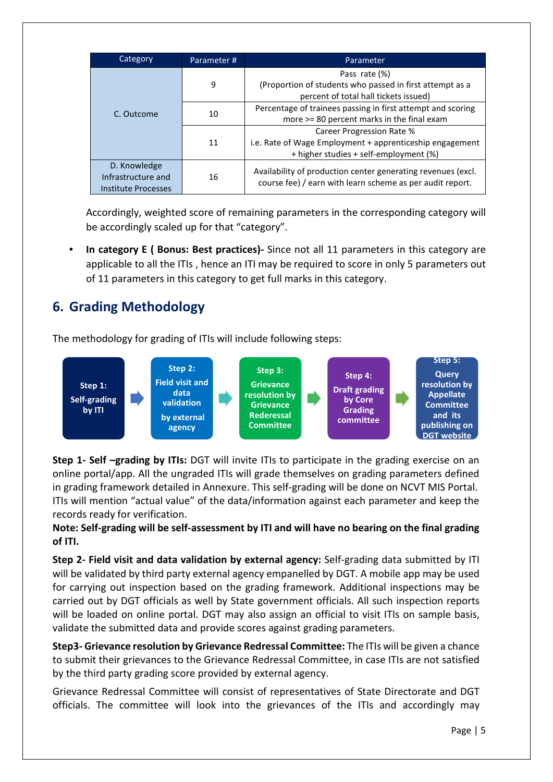| Category            | Parameter# | Parameter                                                                                         |  |  |  |  |  |
|---------------------|------------|---------------------------------------------------------------------------------------------------|--|--|--|--|--|
|                     |            | Pass rate (%)                                                                                     |  |  |  |  |  |
|                     | 9          | (Proportion of students who passed in first attempt as a<br>percent of total hall tickets issued) |  |  |  |  |  |
| C. Outcome          | 10         | Percentage of trainees passing in first attempt and scoring                                       |  |  |  |  |  |
|                     |            | more >= 80 percent marks in the final exam                                                        |  |  |  |  |  |
|                     | 11         | Career Progression Rate %                                                                         |  |  |  |  |  |
|                     |            | i.e. Rate of Wage Employment + apprenticeship engagement                                          |  |  |  |  |  |
|                     |            | + higher studies + self-employment (%)                                                            |  |  |  |  |  |
| D. Knowledge        |            | Availability of production center generating revenues (excl.                                      |  |  |  |  |  |
| Infrastructure and  | 16         |                                                                                                   |  |  |  |  |  |
| Institute Processes |            | course fee) / earn with learn scheme as per audit report.                                         |  |  |  |  |  |

Accordingly, weighted score of remaining parameters in the corresponding category will be accordingly scaled up for that "category".

• **In category E ( Bonus: Best practices)-** Since not all 11 parameters in this category are applicable to all the ITIs , hence an ITI may be required to score in only 5 parameters out of 11 parameters in this category to get full marks in this category.

# <span id="page-6-0"></span>**6. Grading Methodology**

The methodology for grading of ITIs will include following steps:



**Step 1- Self –grading by ITIs:** DGT will invite ITIs to participate in the grading exercise on an online portal/app. All the ungraded ITIs will grade themselves on grading parameters defined in grading framework detailed in Annexure. This self-grading will be done on NCVT MIS Portal. ITIs will mention "actual value" of the data/information against each parameter and keep the records ready for verification.

# **Note: Self-grading will be self-assessment by ITI and will have no bearing on the final grading of ITI.**

**Step 2- Field visit and data validation by external agency:** Self-grading data submitted by ITI will be validated by third party external agency empanelled by DGT. A mobile app may be used for carrying out inspection based on the grading framework. Additional inspections may be carried out by DGT officials as well by State government officials. All such inspection reports will be loaded on online portal. DGT may also assign an official to visit ITIs on sample basis, validate the submitted data and provide scores against grading parameters.

**Step3- Grievance resolution by Grievance Redressal Committee:** The ITIs will be given a chance to submit their grievances to the Grievance Redressal Committee, in case ITIs are not satisfied by the third party grading score provided by external agency.

Grievance Redressal Committee will consist of representatives of State Directorate and DGT officials. The committee will look into the grievances of the ITIs and accordingly may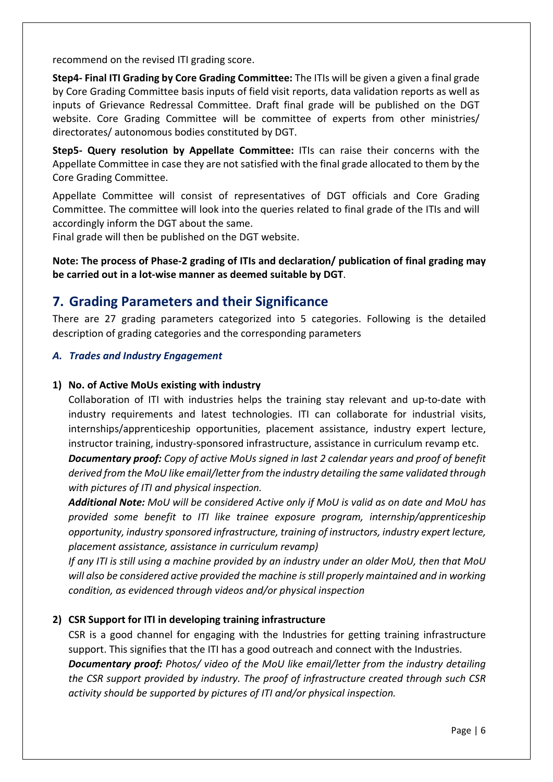recommend on the revised ITI grading score.

**Step4- Final ITI Grading by Core Grading Committee:** The ITIs will be given a given a final grade by Core Grading Committee basis inputs of field visit reports, data validation reports as well as inputs of Grievance Redressal Committee. Draft final grade will be published on the DGT website. Core Grading Committee will be committee of experts from other ministries/ directorates/ autonomous bodies constituted by DGT.

**Step5- Query resolution by Appellate Committee:** ITIs can raise their concerns with the Appellate Committee in case they are not satisfied with the final grade allocated to them by the Core Grading Committee.

Appellate Committee will consist of representatives of DGT officials and Core Grading Committee. The committee will look into the queries related to final grade of the ITIs and will accordingly inform the DGT about the same.

Final grade will then be published on the DGT website.

**Note: The process of Phase-2 grading of ITIs and declaration/ publication of final grading may be carried out in a lot-wise manner as deemed suitable by DGT**.

# <span id="page-7-0"></span>**7. Grading Parameters and their Significance**

There are 27 grading parameters categorized into 5 categories. Following is the detailed description of grading categories and the corresponding parameters

## *A. Trades and Industry Engagement*

#### **1) No. of Active MoUs existing with industry**

Collaboration of ITI with industries helps the training stay relevant and up-to-date with industry requirements and latest technologies. ITI can collaborate for industrial visits, internships/apprenticeship opportunities, placement assistance, industry expert lecture, instructor training, industry-sponsored infrastructure, assistance in curriculum revamp etc.

*Documentary proof: Copy of active MoUs signed in last 2 calendar years and proof of benefit derived from the MoU like email/letter from the industry detailing the same validated through with pictures of ITI and physical inspection.*

*Additional Note: MoU will be considered Active only if MoU is valid as on date and MoU has provided some benefit to ITI like trainee exposure program, internship/apprenticeship opportunity, industry sponsored infrastructure, training of instructors, industry expert lecture, placement assistance, assistance in curriculum revamp)*

*If any ITI is still using a machine provided by an industry under an older MoU, then that MoU will also be considered active provided the machine is still properly maintained and in working condition, as evidenced through videos and/or physical inspection*

#### **2) CSR Support for ITI in developing training infrastructure**

CSR is a good channel for engaging with the Industries for getting training infrastructure support. This signifies that the ITI has a good outreach and connect with the Industries. *Documentary proof: Photos/ video of the MoU like email/letter from the industry detailing the CSR support provided by industry. The proof of infrastructure created through such CSR activity should be supported by pictures of ITI and/or physical inspection.*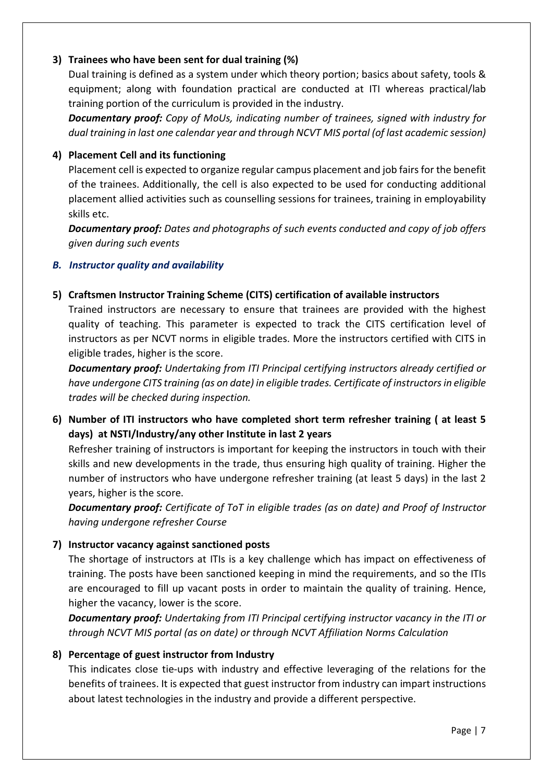# **3) Trainees who have been sent for dual training (%)**

Dual training is defined as a system under which theory portion; basics about safety, tools & equipment; along with foundation practical are conducted at ITI whereas practical/lab training portion of the curriculum is provided in the industry.

*Documentary proof: Copy of MoUs, indicating number of trainees, signed with industry for dual training in last one calendar year and through NCVT MIS portal (of last academic session)*

# **4) Placement Cell and its functioning**

Placement cell is expected to organize regular campus placement and job fairs for the benefit of the trainees. Additionally, the cell is also expected to be used for conducting additional placement allied activities such as counselling sessions for trainees, training in employability skills etc.

*Documentary proof: Dates and photographs of such events conducted and copy of job offers given during such events*

# *B. Instructor quality and availability*

# **5) Craftsmen Instructor Training Scheme (CITS) certification of available instructors**

Trained instructors are necessary to ensure that trainees are provided with the highest quality of teaching. This parameter is expected to track the CITS certification level of instructors as per NCVT norms in eligible trades. More the instructors certified with CITS in eligible trades, higher is the score.

*Documentary proof: Undertaking from ITI Principal certifying instructors already certified or have undergone CITS training (as on date) in eligible trades. Certificate of instructors in eligible trades will be checked during inspection.*

**6) Number of ITI instructors who have completed short term refresher training ( at least 5 days) at NSTI/Industry/any other Institute in last 2 years**

Refresher training of instructors is important for keeping the instructors in touch with their skills and new developments in the trade, thus ensuring high quality of training. Higher the number of instructors who have undergone refresher training (at least 5 days) in the last 2 years, higher is the score.

*Documentary proof: Certificate of ToT in eligible trades (as on date) and Proof of Instructor having undergone refresher Course*

# **7) Instructor vacancy against sanctioned posts**

The shortage of instructors at ITIs is a key challenge which has impact on effectiveness of training. The posts have been sanctioned keeping in mind the requirements, and so the ITIs are encouraged to fill up vacant posts in order to maintain the quality of training. Hence, higher the vacancy, lower is the score.

*Documentary proof: Undertaking from ITI Principal certifying instructor vacancy in the ITI or through NCVT MIS portal (as on date) or through NCVT Affiliation Norms Calculation*

# **8) Percentage of guest instructor from Industry**

This indicates close tie-ups with industry and effective leveraging of the relations for the benefits of trainees. It is expected that guest instructor from industry can impart instructions about latest technologies in the industry and provide a different perspective.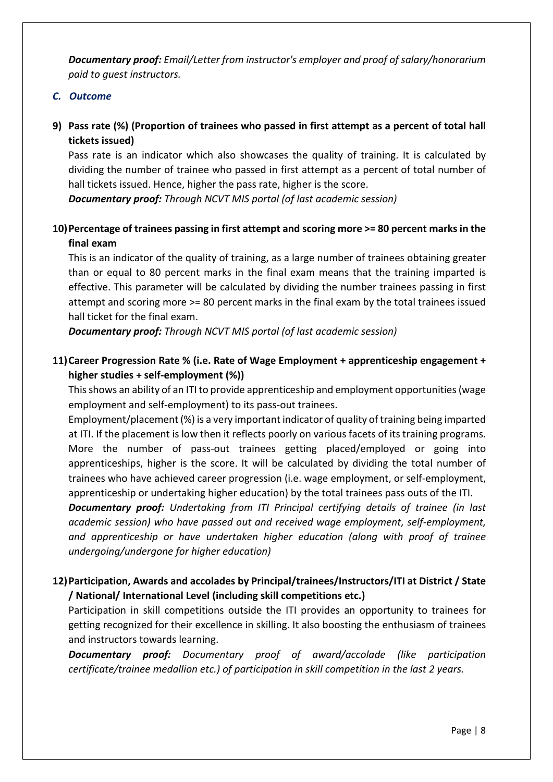*Documentary proof: Email/Letter from instructor's employer and proof of salary/honorarium paid to guest instructors.*

# *C. Outcome*

**9) Pass rate (%) (Proportion of trainees who passed in first attempt as a percent of total hall tickets issued)**

Pass rate is an indicator which also showcases the quality of training. It is calculated by dividing the number of trainee who passed in first attempt as a percent of total number of hall tickets issued. Hence, higher the pass rate, higher is the score.

*Documentary proof: Through NCVT MIS portal (of last academic session)*

# **10)Percentage of trainees passing in first attempt and scoring more >= 80 percent marks in the final exam**

This is an indicator of the quality of training, as a large number of trainees obtaining greater than or equal to 80 percent marks in the final exam means that the training imparted is effective. This parameter will be calculated by dividing the number trainees passing in first attempt and scoring more >= 80 percent marks in the final exam by the total trainees issued hall ticket for the final exam.

*Documentary proof: Through NCVT MIS portal (of last academic session)*

# **11)Career Progression Rate % (i.e. Rate of Wage Employment + apprenticeship engagement + higher studies + self-employment (%))**

This shows an ability of an ITI to provide apprenticeship and employment opportunities (wage employment and self-employment) to its pass-out trainees.

Employment/placement (%) is a very important indicator of quality of training being imparted at ITI. If the placement is low then it reflects poorly on various facets of its training programs. More the number of pass-out trainees getting placed/employed or going into apprenticeships, higher is the score. It will be calculated by dividing the total number of trainees who have achieved career progression (i.e. wage employment, or self-employment, apprenticeship or undertaking higher education) by the total trainees pass outs of the ITI.

*Documentary proof: Undertaking from ITI Principal certifying details of trainee (in last academic session) who have passed out and received wage employment, self-employment, and apprenticeship or have undertaken higher education (along with proof of trainee undergoing/undergone for higher education)*

# **12)Participation, Awards and accolades by Principal/trainees/Instructors/ITI at District / State / National/ International Level (including skill competitions etc.)**

Participation in skill competitions outside the ITI provides an opportunity to trainees for getting recognized for their excellence in skilling. It also boosting the enthusiasm of trainees and instructors towards learning.

*Documentary proof: Documentary proof of award/accolade (like participation certificate/trainee medallion etc.) of participation in skill competition in the last 2 years.*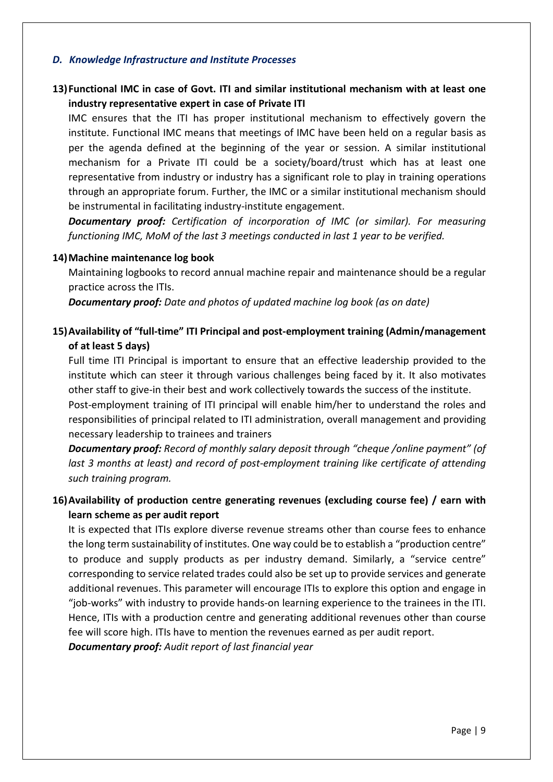#### *D. Knowledge Infrastructure and Institute Processes*

# **13)Functional IMC in case of Govt. ITI and similar institutional mechanism with at least one industry representative expert in case of Private ITI**

IMC ensures that the ITI has proper institutional mechanism to effectively govern the institute. Functional IMC means that meetings of IMC have been held on a regular basis as per the agenda defined at the beginning of the year or session. A similar institutional mechanism for a Private ITI could be a society/board/trust which has at least one representative from industry or industry has a significant role to play in training operations through an appropriate forum. Further, the IMC or a similar institutional mechanism should be instrumental in facilitating industry-institute engagement.

*Documentary proof: Certification of incorporation of IMC (or similar). For measuring functioning IMC, MoM of the last 3 meetings conducted in last 1 year to be verified.*

#### **14)Machine maintenance log book**

Maintaining logbooks to record annual machine repair and maintenance should be a regular practice across the ITIs.

*Documentary proof: Date and photos of updated machine log book (as on date)*

# **15)Availability of "full-time" ITI Principal and post-employment training (Admin/management of at least 5 days)**

Full time ITI Principal is important to ensure that an effective leadership provided to the institute which can steer it through various challenges being faced by it. It also motivates other staff to give-in their best and work collectively towards the success of the institute.

Post-employment training of ITI principal will enable him/her to understand the roles and responsibilities of principal related to ITI administration, overall management and providing necessary leadership to trainees and trainers

*Documentary proof: Record of monthly salary deposit through "cheque /online payment" (of last 3 months at least) and record of post-employment training like certificate of attending such training program.*

# **16)Availability of production centre generating revenues (excluding course fee) / earn with learn scheme as per audit report**

It is expected that ITIs explore diverse revenue streams other than course fees to enhance the long term sustainability of institutes. One way could be to establish a "production centre" to produce and supply products as per industry demand. Similarly, a "service centre" corresponding to service related trades could also be set up to provide services and generate additional revenues. This parameter will encourage ITIs to explore this option and engage in "job-works" with industry to provide hands-on learning experience to the trainees in the ITI. Hence, ITIs with a production centre and generating additional revenues other than course fee will score high. ITIs have to mention the revenues earned as per audit report.

*Documentary proof: Audit report of last financial year*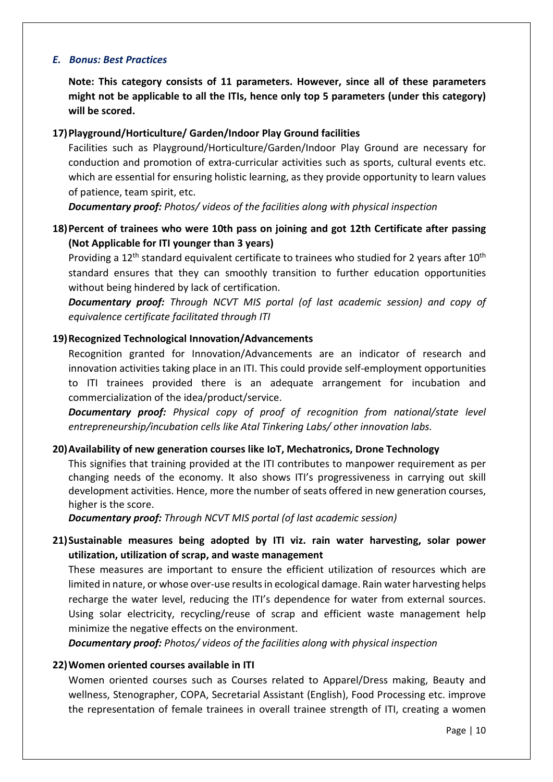#### *E. Bonus: Best Practices*

**Note: This category consists of 11 parameters. However, since all of these parameters might not be applicable to all the ITIs, hence only top 5 parameters (under this category) will be scored.**

## **17)Playground/Horticulture/ Garden/Indoor Play Ground facilities**

Facilities such as Playground/Horticulture/Garden/Indoor Play Ground are necessary for conduction and promotion of extra-curricular activities such as sports, cultural events etc. which are essential for ensuring holistic learning, as they provide opportunity to learn values of patience, team spirit, etc.

*Documentary proof: Photos/ videos of the facilities along with physical inspection*

# **18)Percent of trainees who were 10th pass on joining and got 12th Certificate after passing (Not Applicable for ITI younger than 3 years)**

Providing a  $12<sup>th</sup>$  standard equivalent certificate to trainees who studied for 2 years after  $10<sup>th</sup>$ standard ensures that they can smoothly transition to further education opportunities without being hindered by lack of certification.

*Documentary proof: Through NCVT MIS portal (of last academic session) and copy of equivalence certificate facilitated through ITI*

## **19)Recognized Technological Innovation/Advancements**

Recognition granted for Innovation/Advancements are an indicator of research and innovation activities taking place in an ITI. This could provide self-employment opportunities to ITI trainees provided there is an adequate arrangement for incubation and commercialization of the idea/product/service.

*Documentary proof: Physical copy of proof of recognition from national/state level entrepreneurship/incubation cells like Atal Tinkering Labs/ other innovation labs.*

#### **20)Availability of new generation courses like IoT, Mechatronics, Drone Technology**

This signifies that training provided at the ITI contributes to manpower requirement as per changing needs of the economy. It also shows ITI's progressiveness in carrying out skill development activities. Hence, more the number of seats offered in new generation courses, higher is the score.

*Documentary proof: Through NCVT MIS portal (of last academic session)*

# **21)Sustainable measures being adopted by ITI viz. rain water harvesting, solar power utilization, utilization of scrap, and waste management**

These measures are important to ensure the efficient utilization of resources which are limited in nature, or whose over-use results in ecological damage. Rain water harvesting helps recharge the water level, reducing the ITI's dependence for water from external sources. Using solar electricity, recycling/reuse of scrap and efficient waste management help minimize the negative effects on the environment.

*Documentary proof: Photos/ videos of the facilities along with physical inspection*

#### **22)Women oriented courses available in ITI**

Women oriented courses such as Courses related to Apparel/Dress making, Beauty and wellness, Stenographer, COPA, Secretarial Assistant (English), Food Processing etc. improve the representation of female trainees in overall trainee strength of ITI, creating a women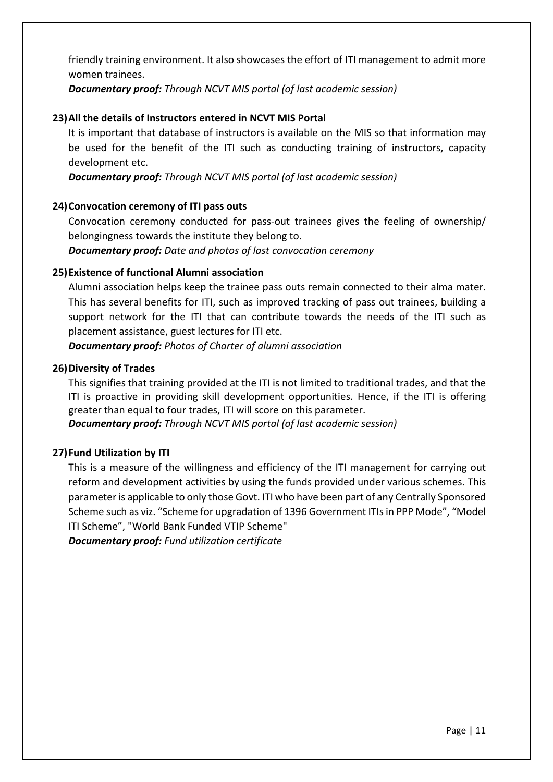friendly training environment. It also showcases the effort of ITI management to admit more women trainees.

*Documentary proof: Through NCVT MIS portal (of last academic session)*

## **23)All the details of Instructors entered in NCVT MIS Portal**

It is important that database of instructors is available on the MIS so that information may be used for the benefit of the ITI such as conducting training of instructors, capacity development etc.

*Documentary proof: Through NCVT MIS portal (of last academic session)*

## **24)Convocation ceremony of ITI pass outs**

Convocation ceremony conducted for pass-out trainees gives the feeling of ownership/ belongingness towards the institute they belong to.

*Documentary proof: Date and photos of last convocation ceremony*

## **25)Existence of functional Alumni association**

Alumni association helps keep the trainee pass outs remain connected to their alma mater. This has several benefits for ITI, such as improved tracking of pass out trainees, building a support network for the ITI that can contribute towards the needs of the ITI such as placement assistance, guest lectures for ITI etc.

*Documentary proof: Photos of Charter of alumni association*

#### **26)Diversity of Trades**

This signifies that training provided at the ITI is not limited to traditional trades, and that the ITI is proactive in providing skill development opportunities. Hence, if the ITI is offering greater than equal to four trades, ITI will score on this parameter.

*Documentary proof: Through NCVT MIS portal (of last academic session)*

#### **27)Fund Utilization by ITI**

This is a measure of the willingness and efficiency of the ITI management for carrying out reform and development activities by using the funds provided under various schemes. This parameter is applicable to only those Govt. ITI who have been part of any Centrally Sponsored Scheme such as viz. "Scheme for upgradation of 1396 Government ITIs in PPP Mode", "Model ITI Scheme", "World Bank Funded VTIP Scheme"

*Documentary proof: Fund utilization certificate*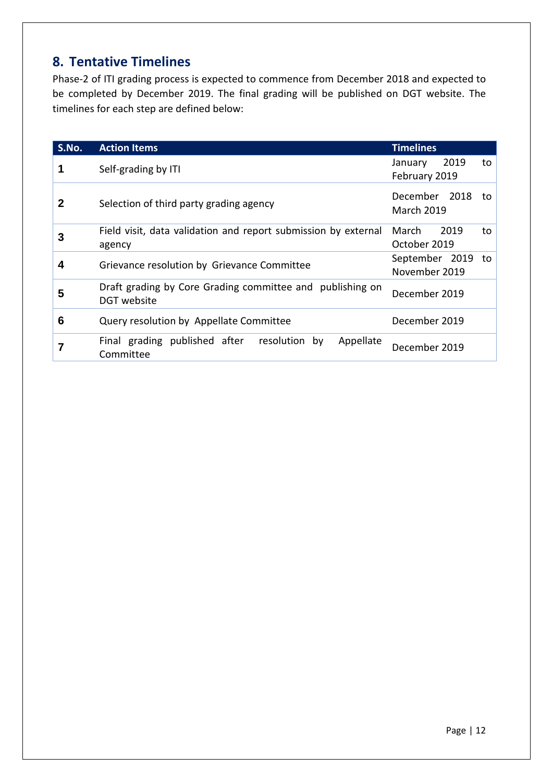# <span id="page-13-0"></span>**8. Tentative Timelines**

Phase-2 of ITI grading process is expected to commence from December 2018 and expected to be completed by December 2019. The final grading will be published on DGT website. The timelines for each step are defined below:

| S.No. | <b>Action Items</b>                                                      | <b>Timelines</b>                         |
|-------|--------------------------------------------------------------------------|------------------------------------------|
|       | Self-grading by ITI                                                      | 2019<br>January<br>to<br>February 2019   |
| 2     | Selection of third party grading agency                                  | December 2018<br>to<br><b>March 2019</b> |
| 3     | Field visit, data validation and report submission by external<br>agency | 2019<br>March<br>to<br>October 2019      |
| 4     | Grievance resolution by Grievance Committee                              | September 2019<br>to<br>November 2019    |
| 5     | Draft grading by Core Grading committee and publishing on<br>DGT website | December 2019                            |
| 6     | Query resolution by Appellate Committee                                  | December 2019                            |
| 7     | Final grading published after resolution<br>Appellate<br>by<br>Committee | December 2019                            |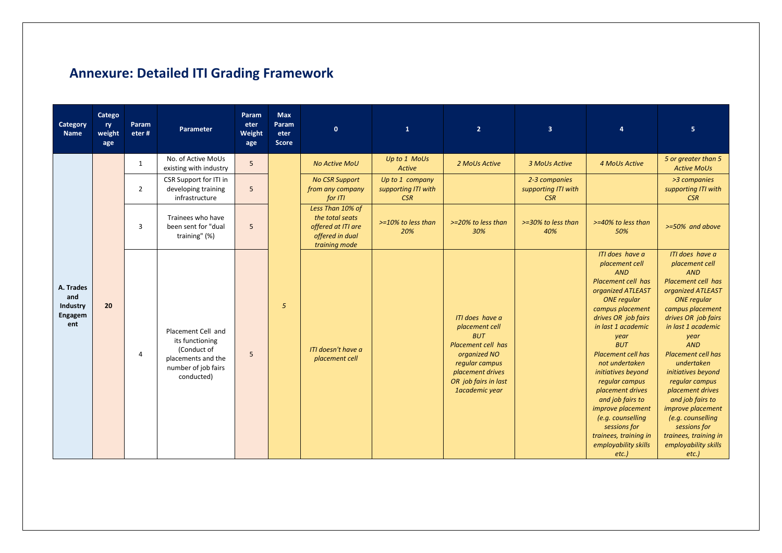|  |  |  |  | <b>Annexure: Detailed ITI Grading Framework</b> |
|--|--|--|--|-------------------------------------------------|
|--|--|--|--|-------------------------------------------------|

<span id="page-14-0"></span>

| Category<br>Name                               | Catego<br>ry<br>weight<br>age | Param<br>eter# | Parameter                                                                                                       | Param<br>eter<br>Weight<br>age | <b>Max</b><br>Param<br>eter<br><b>Score</b> | $\mathbf{0}$                                                                                  | $\mathbf{1}$                                  | 2 <sup>1</sup>                                                                                                                                                        | 3 <sup>2</sup>                                     | $\overline{4}$                                                                                                                                                                                                                                                                                                                                                                                                                                                       | $\overline{5}$                                                                                                                                                                                                                                                                                                                                                                                                                                                   |
|------------------------------------------------|-------------------------------|----------------|-----------------------------------------------------------------------------------------------------------------|--------------------------------|---------------------------------------------|-----------------------------------------------------------------------------------------------|-----------------------------------------------|-----------------------------------------------------------------------------------------------------------------------------------------------------------------------|----------------------------------------------------|----------------------------------------------------------------------------------------------------------------------------------------------------------------------------------------------------------------------------------------------------------------------------------------------------------------------------------------------------------------------------------------------------------------------------------------------------------------------|------------------------------------------------------------------------------------------------------------------------------------------------------------------------------------------------------------------------------------------------------------------------------------------------------------------------------------------------------------------------------------------------------------------------------------------------------------------|
|                                                |                               | 1              | No. of Active MoUs<br>existing with industry                                                                    | 5                              |                                             | <b>No Active MoU</b>                                                                          | Up to 1 MoUs<br>Active                        | 2 MoUs Active                                                                                                                                                         | 3 MoUs Active                                      | <b>4 MoUs Active</b>                                                                                                                                                                                                                                                                                                                                                                                                                                                 | 5 or greater than 5<br><b>Active MoUs</b>                                                                                                                                                                                                                                                                                                                                                                                                                        |
|                                                |                               | $\overline{2}$ | CSR Support for ITI in<br>developing training<br>infrastructure                                                 | 5                              |                                             | <b>No CSR Support</b><br>from any company<br>for ITI                                          | Up to 1 company<br>supporting ITI with<br>CSR |                                                                                                                                                                       | 2-3 companies<br>supporting ITI with<br><b>CSR</b> |                                                                                                                                                                                                                                                                                                                                                                                                                                                                      | >3 companies<br>supporting ITI with<br>CSR                                                                                                                                                                                                                                                                                                                                                                                                                       |
|                                                |                               | 3              | Trainees who have<br>been sent for "dual<br>training" (%)                                                       | 5                              |                                             | Less Than 10% of<br>the total seats<br>offered at ITI are<br>offered in dual<br>training mode | $>=10\%$ to less than<br>20%                  | $>=20\%$ to less than<br>30%                                                                                                                                          | >=30% to less than<br>40%                          | >=40% to less than<br>50%                                                                                                                                                                                                                                                                                                                                                                                                                                            | $>= 50\%$ and above                                                                                                                                                                                                                                                                                                                                                                                                                                              |
| A. Trades<br>and<br>Industry<br>Engagem<br>ent | 20                            | 4              | Placement Cell and<br>its functioning<br>(Conduct of<br>placements and the<br>number of job fairs<br>conducted) | 5                              | 5                                           | ITI doesn't have a<br>placement cell                                                          |                                               | ITI does have a<br>placement cell<br><b>BUT</b><br>Placement cell has<br>organized NO<br>regular campus<br>placement drives<br>OR job fairs in last<br>1academic year |                                                    | ITI does have a<br>placement cell<br><b>AND</b><br><b>Placement cell has</b><br>organized ATLEAST<br><b>ONE</b> regular<br>campus placement<br>drives OR job fairs<br>in last 1 academic<br>year<br><b>BUT</b><br><b>Placement cell has</b><br>not undertaken<br>initiatives beyond<br>regular campus<br>placement drives<br>and job fairs to<br>improve placement<br>(e.g. counselling<br>sessions for<br>trainees, training in<br>employability skills<br>$etc.$ ) | ITI does have a<br>placement cell<br><b>AND</b><br>Placement cell has<br>organized ATLEAST<br><b>ONE</b> regular<br>campus placement<br>drives OR job fairs<br>in last 1 academic<br>year<br><b>AND</b><br><b>Placement cell has</b><br>undertaken<br>initiatives beyond<br>regular campus<br>placement drives<br>and job fairs to<br><i>improve placement</i><br>(e.g. counselling<br>sessions for<br>trainees, training in<br>employability skills<br>$etc.$ ) |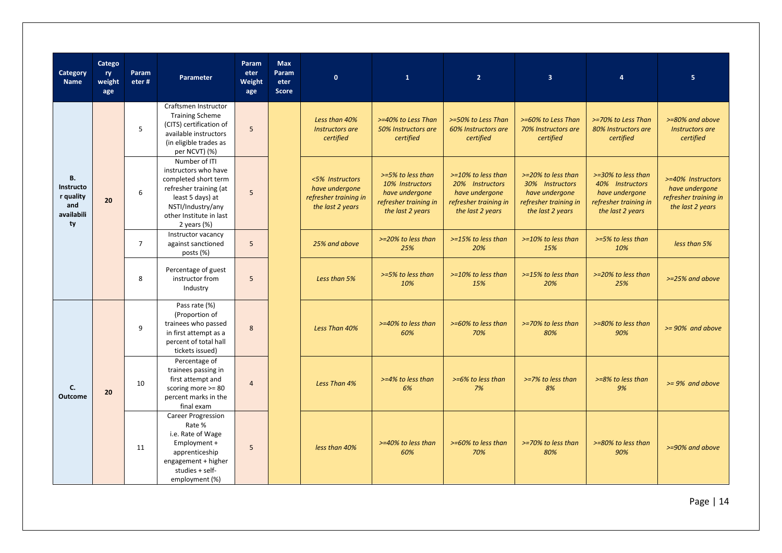| Category<br><b>Name</b>                                        | Catego<br>ry<br>weight<br>age | Param<br>eter# | Parameter                                                                                                                                                                     | Param<br>eter<br>Weight<br>age | <b>Max</b><br>Param<br>eter<br><b>Score</b> | $\mathbf{0}$                                                                   | $\mathbf{1}$                                                                                        | $\overline{2}$                                                                                          | $\overline{3}$                                                                                       | $\overline{a}$                                                                                       | 5 <sub>1</sub>                                                                   |
|----------------------------------------------------------------|-------------------------------|----------------|-------------------------------------------------------------------------------------------------------------------------------------------------------------------------------|--------------------------------|---------------------------------------------|--------------------------------------------------------------------------------|-----------------------------------------------------------------------------------------------------|---------------------------------------------------------------------------------------------------------|------------------------------------------------------------------------------------------------------|------------------------------------------------------------------------------------------------------|----------------------------------------------------------------------------------|
| <b>B.</b><br>Instructo<br>r quality<br>and<br>availabili<br>ty |                               | 5              | Craftsmen Instructor<br><b>Training Scheme</b><br>(CITS) certification of<br>available instructors<br>(in eligible trades as<br>per NCVT) (%)                                 | 5                              |                                             | Less than 40%<br>Instructors are<br>certified                                  | >=40% to Less Than<br>50% Instructors are<br>certified                                              | >=50% to Less Than<br>60% Instructors are<br>certified                                                  | >=60% to Less Than<br>70% Instructors are<br>certified                                               | >=70% to Less Than<br>80% Instructors are<br>certified                                               | >=80% and above<br>Instructors are<br>certified                                  |
|                                                                | 20                            | 6              | Number of ITI<br>instructors who have<br>completed short term<br>refresher training (at<br>least 5 days) at<br>NSTI/Industry/any<br>other Institute in last<br>2 years $(\%)$ | 5                              |                                             | <5% Instructors<br>have undergone<br>refresher training in<br>the last 2 years | >=5% to less than<br>10% Instructors<br>have undergone<br>refresher training in<br>the last 2 years | $>=10\%$ to less than<br>20% Instructors<br>have undergone<br>refresher training in<br>the last 2 years | >=20% to less than<br>30% Instructors<br>have undergone<br>refresher training in<br>the last 2 years | >=30% to less than<br>40% Instructors<br>have undergone<br>refresher training in<br>the last 2 years | >=40% Instructors<br>have undergone<br>refresher training in<br>the last 2 years |
|                                                                |                               | $\overline{7}$ | Instructor vacancy<br>against sanctioned<br>posts (%)                                                                                                                         | 5                              |                                             | 25% and above                                                                  | $>=20\%$ to less than<br>25%                                                                        | $>=15\%$ to less than<br>20%                                                                            | $>=10\%$ to less than<br>15%                                                                         | $>= 5\%$ to less than<br>10%                                                                         | less than 5%                                                                     |
|                                                                |                               | 8              | Percentage of guest<br>instructor from<br>Industry                                                                                                                            | 5                              |                                             | Less than 5%                                                                   | $>= 5\%$ to less than<br>10%                                                                        | $>=10\%$ to less than<br>15%                                                                            | $>=15%$ to less than<br>20%                                                                          | >=20% to less than<br>25%                                                                            | $>=25\%$ and above                                                               |
|                                                                | 20                            | 9              | Pass rate (%)<br>(Proportion of<br>trainees who passed<br>in first attempt as a<br>percent of total hall<br>tickets issued)                                                   | 8                              |                                             | Less Than 40%                                                                  | $>=40\%$ to less than<br>60%                                                                        | >=60% to less than<br>70%                                                                               | >=70% to less than<br>80%                                                                            | >=80% to less than<br>90%                                                                            | $>= 90\%$ and above                                                              |
| C.<br><b>Outcome</b>                                           |                               | 10             | Percentage of<br>trainees passing in<br>first attempt and<br>scoring more $>= 80$<br>percent marks in the<br>final exam                                                       | $\overline{4}$                 |                                             | Less Than 4%                                                                   | >=4% to less than<br>6%                                                                             | >=6% to less than<br>7%                                                                                 | >=7% to less than<br>8%                                                                              | >=8% to less than<br>9%                                                                              | $>= 9\%$ and above                                                               |
|                                                                |                               | 11             | <b>Career Progression</b><br>Rate %<br>i.e. Rate of Wage<br>Employment +<br>apprenticeship<br>engagement + higher<br>studies + self-<br>employment (%)                        | 5                              |                                             | less than 40%                                                                  | >=40% to less than<br>60%                                                                           | $>= 60\%$ to less than<br>70%                                                                           | >=70% to less than<br>80%                                                                            | >=80% to less than<br>90%                                                                            | $>= 90\%$ and above                                                              |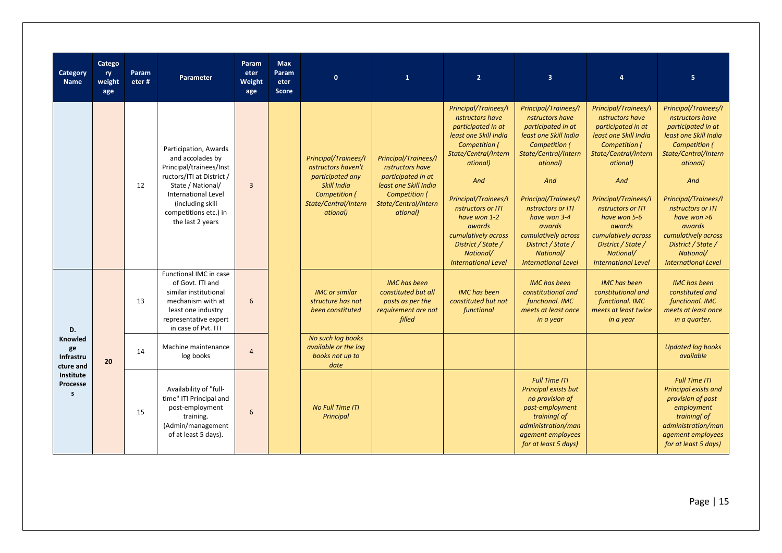| Category<br>Name                        | Catego<br>ry.<br>weight<br>age | Param<br>eter# | <b>Parameter</b>                                                                                                                                                                                                       | Param<br>eter<br>Weight<br>age | <b>Max</b><br>Param<br>eter<br><b>Score</b> | $\mathbf{0}$                                                                                                                                     | $\mathbf{1}$                                                                                                                                       | $\overline{2}$                                                                                                                                                                                                                                                                                                           | $\overline{3}$                                                                                                                                                                                                                                                                                                    | $\overline{a}$                                                                                                                                                                                                                                                                                                           | 5                                                                                                                                                                                                                                                                                                                         |
|-----------------------------------------|--------------------------------|----------------|------------------------------------------------------------------------------------------------------------------------------------------------------------------------------------------------------------------------|--------------------------------|---------------------------------------------|--------------------------------------------------------------------------------------------------------------------------------------------------|----------------------------------------------------------------------------------------------------------------------------------------------------|--------------------------------------------------------------------------------------------------------------------------------------------------------------------------------------------------------------------------------------------------------------------------------------------------------------------------|-------------------------------------------------------------------------------------------------------------------------------------------------------------------------------------------------------------------------------------------------------------------------------------------------------------------|--------------------------------------------------------------------------------------------------------------------------------------------------------------------------------------------------------------------------------------------------------------------------------------------------------------------------|---------------------------------------------------------------------------------------------------------------------------------------------------------------------------------------------------------------------------------------------------------------------------------------------------------------------------|
|                                         |                                | 12             | Participation, Awards<br>and accolades by<br>Principal/trainees/Inst<br>ructors/ITI at District /<br>State / National/<br><b>International Level</b><br>(including skill)<br>competitions etc.) in<br>the last 2 years | $\overline{3}$                 |                                             | <b>Principal/Trainees/I</b><br>nstructors haven't<br>participated any<br><b>Skill India</b><br>Competition (<br>State/Central/Intern<br>ational) | <b>Principal/Trainees/I</b><br>nstructors have<br>participated in at<br>least one Skill India<br>Competition (<br>State/Central/Intern<br>ational) | Principal/Trainees/I<br>nstructors have<br>participated in at<br>least one Skill India<br>Competition (<br>State/Central/Intern<br>ational)<br>And<br><b>Principal/Trainees/I</b><br>nstructors or ITI<br>have won 1-2<br>awards<br>cumulatively across<br>District / State /<br>National/<br><b>International Level</b> | Principal/Trainees/I<br>nstructors have<br>participated in at<br>least one Skill India<br>Competition (<br>State/Central/Intern<br>ational)<br>And<br>Principal/Trainees/I<br>nstructors or ITI<br>have won 3-4<br>awards<br>cumulatively across<br>District / State /<br>National/<br><b>International Level</b> | <b>Principal/Trainees/I</b><br>nstructors have<br>participated in at<br>least one Skill India<br>Competition (<br>State/Central/Intern<br>ational)<br>And<br>Principal/Trainees/I<br>nstructors or ITI<br>have won 5-6<br>awards<br>cumulatively across<br>District / State /<br>National/<br><b>International Level</b> | Principal/Trainees/I<br>nstructors have<br>participated in at<br>least one Skill India<br><b>Competition (</b><br>State/Central/Intern<br>ational)<br>And<br>Principal/Trainees/I<br>nstructors or ITI<br>have won $>6$<br>awards<br>cumulatively across<br>District / State /<br>National/<br><b>International Level</b> |
| D.                                      |                                | 13             | Functional IMC in case<br>of Govt. ITI and<br>similar institutional<br>mechanism with at<br>least one industry<br>representative expert<br>in case of Pvt. ITI                                                         | 6                              |                                             | <b>IMC</b> or similar<br>structure has not<br>been constituted                                                                                   | <b>IMC</b> has been<br>constituted but all<br>posts as per the<br>requirement are not<br>filled                                                    | <b>IMC</b> has been<br>constituted but not<br>functional                                                                                                                                                                                                                                                                 | <b>IMC</b> has been<br>constitutional and<br>functional. IMC<br>meets at least once<br>in a year                                                                                                                                                                                                                  | <b>IMC</b> has been<br>constitutional and<br>functional. IMC<br>meets at least twice<br>in a year                                                                                                                                                                                                                        | <b>IMC</b> has been<br>constituted and<br>functional. IMC<br>meets at least once<br>in a quarter.                                                                                                                                                                                                                         |
| Knowled<br>ge<br>Infrastru<br>cture and | 20                             | 14             | Machine maintenance<br>log books                                                                                                                                                                                       | $\overline{4}$                 |                                             | No such log books<br>available or the log<br>books not up to<br>date                                                                             |                                                                                                                                                    |                                                                                                                                                                                                                                                                                                                          |                                                                                                                                                                                                                                                                                                                   |                                                                                                                                                                                                                                                                                                                          | <b>Updated log books</b><br>available                                                                                                                                                                                                                                                                                     |
| Institute<br>Processe<br>$\mathbf{s}$   |                                | 15             | Availability of "full-<br>time" ITI Principal and<br>post-employment<br>training.<br>(Admin/management<br>of at least 5 days).                                                                                         | 6                              |                                             | <b>No Full Time ITI</b><br>Principal                                                                                                             |                                                                                                                                                    |                                                                                                                                                                                                                                                                                                                          | <b>Full Time ITI</b><br>Principal exists but<br>no provision of<br>post-employment<br>training( of<br>administration/man<br>agement employees<br>for at least 5 days)                                                                                                                                             |                                                                                                                                                                                                                                                                                                                          | <b>Full Time ITI</b><br>Principal exists and<br>provision of post-<br>employment<br>training( of<br>administration/man<br>agement employees<br>for at least 5 days)                                                                                                                                                       |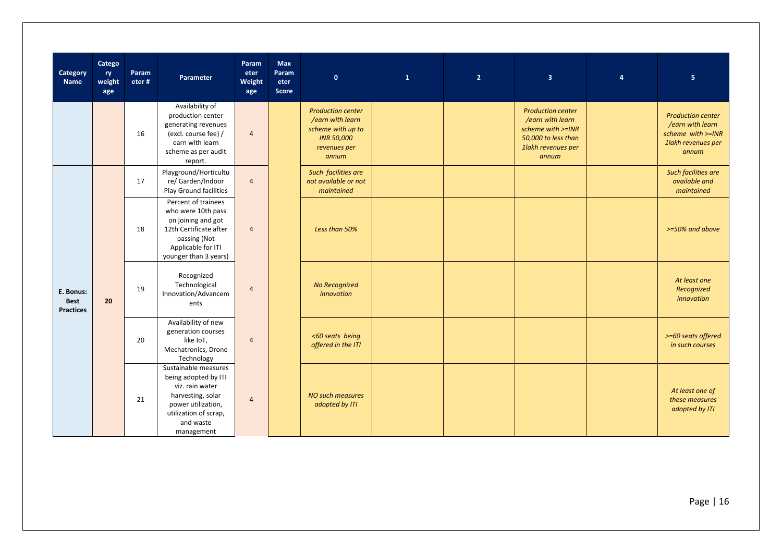| Category<br><b>Name</b>                      | Catego<br>ry<br>weight<br>age | Param<br>eter# | Parameter                                                                                                                                                      | Param<br>eter<br>Weight<br>age | <b>Max</b><br>Param<br>eter<br><b>Score</b> | $\mathbf{0}$                                                                                                    | $\mathbf 1$ | 2 <sup>1</sup> | $\overline{\mathbf{3}}$                                                                                                 | $\overline{4}$ | $\sqrt{5}$                                                                                       |
|----------------------------------------------|-------------------------------|----------------|----------------------------------------------------------------------------------------------------------------------------------------------------------------|--------------------------------|---------------------------------------------|-----------------------------------------------------------------------------------------------------------------|-------------|----------------|-------------------------------------------------------------------------------------------------------------------------|----------------|--------------------------------------------------------------------------------------------------|
|                                              |                               | 16             | Availability of<br>production center<br>generating revenues<br>(excl. course fee) /<br>earn with learn<br>scheme as per audit<br>report.                       | $\overline{4}$                 |                                             | <b>Production center</b><br>/earn with learn<br>scheme with up to<br><b>INR 50,000</b><br>revenues per<br>annum |             |                | <b>Production center</b><br>/earn with learn<br>scheme with >=INR<br>50,000 to less than<br>1lakh revenues per<br>annum |                | <b>Production center</b><br>/earn with learn<br>scheme with >=INR<br>1lakh revenues per<br>annum |
|                                              | 20                            | 17             | Playground/Horticultu<br>re/ Garden/Indoor<br>Play Ground facilities                                                                                           | $\overline{4}$                 |                                             | Such facilities are<br>not available or not<br>maintained                                                       |             |                |                                                                                                                         |                | Such facilities are<br>available and<br>maintained                                               |
|                                              |                               | 18             | Percent of trainees<br>who were 10th pass<br>on joining and got<br>12th Certificate after<br>passing (Not<br>Applicable for ITI<br>younger than 3 years)       | $\overline{4}$                 |                                             | Less than 50%                                                                                                   |             |                |                                                                                                                         |                | >=50% and above                                                                                  |
| E. Bonus:<br><b>Best</b><br><b>Practices</b> |                               | 19             | Recognized<br>Technological<br>Innovation/Advancem<br>ents                                                                                                     | $\overline{4}$                 |                                             | No Recognized<br>innovation                                                                                     |             |                |                                                                                                                         |                | At least one<br>Recognized<br>innovation                                                         |
|                                              |                               | 20             | Availability of new<br>generation courses<br>like IoT,<br>Mechatronics, Drone<br>Technology                                                                    | $\overline{4}$                 |                                             | <60 seats being<br>offered in the ITI                                                                           |             |                |                                                                                                                         |                | >=60 seats offered<br>in such courses                                                            |
|                                              |                               | 21             | Sustainable measures<br>being adopted by ITI<br>viz. rain water<br>harvesting, solar<br>power utilization,<br>utilization of scrap,<br>and waste<br>management | $\overline{4}$                 |                                             | NO such measures<br>adopted by ITI                                                                              |             |                |                                                                                                                         |                | At least one of<br>these measures<br>adopted by ITI                                              |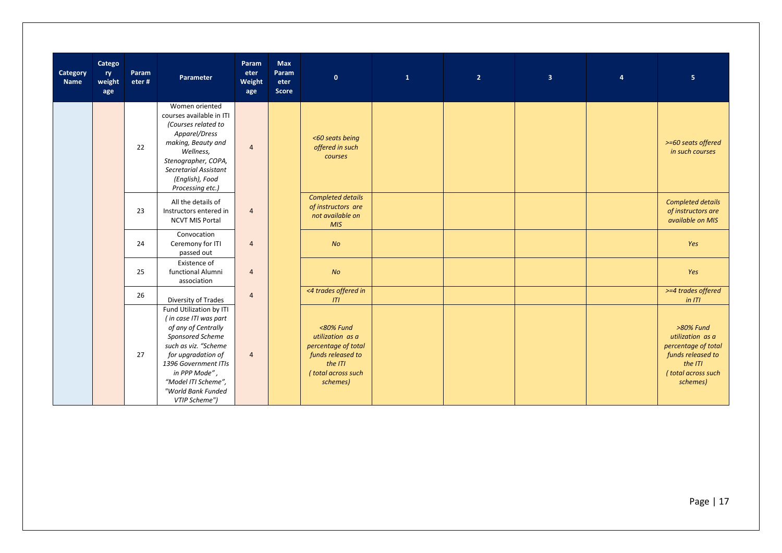| Category<br><b>Name</b> | Catego<br>ry<br>weight<br>age | Param<br>eter# | Parameter                                                                                                                                                                                                                                        | Param<br>eter<br>Weight<br>age | <b>Max</b><br>Param<br>eter<br>Score | $\mathbf{0}$                                                                                                              | $\mathbf{1}$ | 2 <sup>1</sup> | $\overline{\mathbf{3}}$ | $\overline{a}$ | $\overline{5}$                                                                                                         |
|-------------------------|-------------------------------|----------------|--------------------------------------------------------------------------------------------------------------------------------------------------------------------------------------------------------------------------------------------------|--------------------------------|--------------------------------------|---------------------------------------------------------------------------------------------------------------------------|--------------|----------------|-------------------------|----------------|------------------------------------------------------------------------------------------------------------------------|
|                         |                               | 22             | Women oriented<br>courses available in ITI<br>(Courses related to<br>Apparel/Dress<br>making, Beauty and<br>Wellness,<br>Stenographer, COPA,<br>Secretarial Assistant<br>(English), Food<br>Processing etc.)                                     | $\overline{4}$                 |                                      | <60 seats being<br>offered in such<br>courses                                                                             |              |                |                         |                | >=60 seats offered<br>in such courses                                                                                  |
|                         |                               | 23             | All the details of<br>Instructors entered in<br><b>NCVT MIS Portal</b>                                                                                                                                                                           | $\overline{4}$                 |                                      | <b>Completed details</b><br>of instructors are<br>not available on<br><b>MIS</b>                                          |              |                |                         |                | <b>Completed details</b><br>of instructors are<br>available on MIS                                                     |
|                         |                               | 24             | Convocation<br>Ceremony for ITI<br>passed out                                                                                                                                                                                                    | $\overline{4}$                 |                                      | N <sub>O</sub>                                                                                                            |              |                |                         |                | Yes                                                                                                                    |
|                         |                               | 25             | Existence of<br>functional Alumni<br>association                                                                                                                                                                                                 | $\overline{4}$                 |                                      | <b>No</b>                                                                                                                 |              |                |                         |                | Yes                                                                                                                    |
|                         |                               | 26             | Diversity of Trades                                                                                                                                                                                                                              | $\overline{4}$                 |                                      | <4 trades offered in<br>ITI                                                                                               |              |                |                         |                | >=4 trades offered<br>in ITI                                                                                           |
|                         |                               | 27             | Fund Utilization by ITI<br>(in case ITI was part<br>of any of Centrally<br>Sponsored Scheme<br>such as viz. "Scheme<br>for upgradation of<br>1396 Government ITIs<br>in PPP Mode",<br>"Model ITI Scheme",<br>"World Bank Funded<br>VTIP Scheme") | $\overline{4}$                 |                                      | $<80\%$ Fund<br>utilization as a<br>percentage of total<br>funds released to<br>the ITI<br>(total across such<br>schemes) |              |                |                         |                | >80% Fund<br>utilization as a<br>percentage of total<br>funds released to<br>the ITI<br>(total across such<br>schemes) |